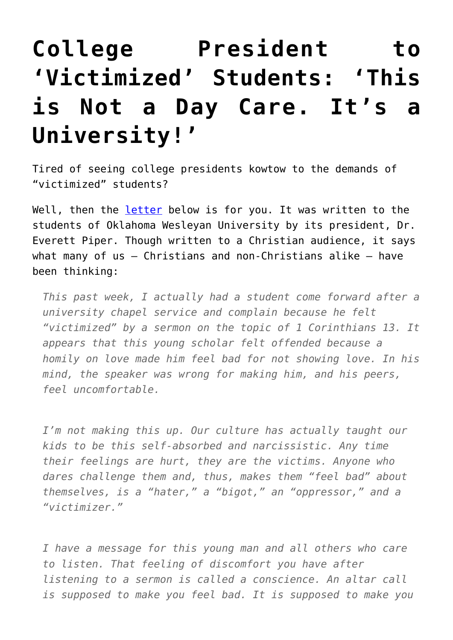## **[College President to](https://intellectualtakeout.org/2015/12/college-president-to-victimized-students-this-is-not-a-day-care-its-a-university/) ['Victimized' Students: 'This](https://intellectualtakeout.org/2015/12/college-president-to-victimized-students-this-is-not-a-day-care-its-a-university/) [is Not a Day Care. It's a](https://intellectualtakeout.org/2015/12/college-president-to-victimized-students-this-is-not-a-day-care-its-a-university/) [University!'](https://intellectualtakeout.org/2015/12/college-president-to-victimized-students-this-is-not-a-day-care-its-a-university/)**

Tired of seeing college presidents kowtow to the demands of "victimized" students?

Well, then the [letter](http://www.okwu.edu/blog/2015/11/this-is-not-a-day-care-its-a-university/) below is for you. It was written to the students of Oklahoma Wesleyan University by its president, Dr. Everett Piper. Though written to a Christian audience, it says what many of us – Christians and non-Christians alike – have been thinking:

*This past week, I actually had a student come forward after a university chapel service and complain because he felt "victimized" by a sermon on the topic of 1 Corinthians 13. It appears that this young scholar felt offended because a homily on love made him feel bad for not showing love. In his mind, the speaker was wrong for making him, and his peers, feel uncomfortable.*

*I'm not making this up. Our culture has actually taught our kids to be this self-absorbed and narcissistic. Any time their feelings are hurt, they are the victims. Anyone who dares challenge them and, thus, makes them "feel bad" about themselves, is a "hater," a "bigot," an "oppressor," and a "victimizer."*

*I have a message for this young man and all others who care to listen. That feeling of discomfort you have after listening to a sermon is called a conscience. An altar call is supposed to make you feel bad. It is supposed to make you*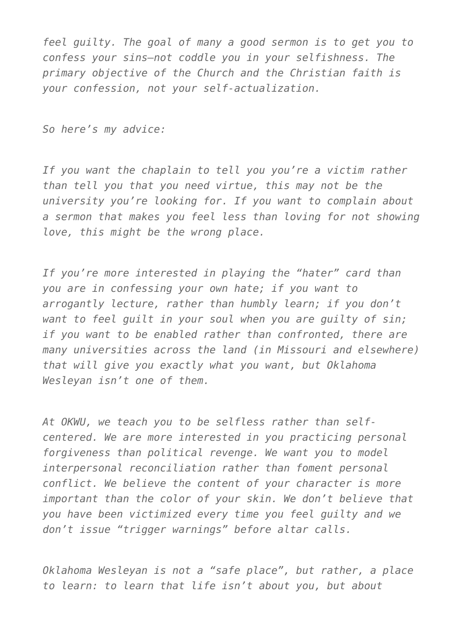*feel guilty. The goal of many a good sermon is to get you to confess your sins—not coddle you in your selfishness. The primary objective of the Church and the Christian faith is your confession, not your self-actualization.*

*So here's my advice:*

*If you want the chaplain to tell you you're a victim rather than tell you that you need virtue, this may not be the university you're looking for. If you want to complain about a sermon that makes you feel less than loving for not showing love, this might be the wrong place.*

*If you're more interested in playing the "hater" card than you are in confessing your own hate; if you want to arrogantly lecture, rather than humbly learn; if you don't want to feel guilt in your soul when you are guilty of sin; if you want to be enabled rather than confronted, there are many universities across the land (in Missouri and elsewhere) that will give you exactly what you want, but Oklahoma Wesleyan isn't one of them.*

*At OKWU, we teach you to be selfless rather than selfcentered. We are more interested in you practicing personal forgiveness than political revenge. We want you to model interpersonal reconciliation rather than foment personal conflict. We believe the content of your character is more important than the color of your skin. We don't believe that you have been victimized every time you feel guilty and we don't issue "trigger warnings" before altar calls.*

*Oklahoma Wesleyan is not a "safe place", but rather, a place to learn: to learn that life isn't about you, but about*